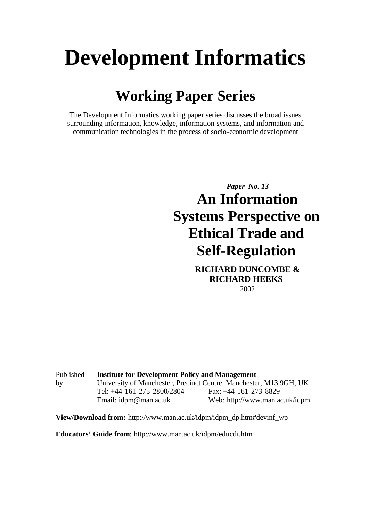# **Development Informatics**

# **Working Paper Series**

The Development Informatics working paper series discusses the broad issues surrounding information, knowledge, information systems, and information and communication technologies in the process of socio-economic development

> *Paper No. 13* **An Information Systems Perspective on Ethical Trade and Self-Regulation**

> > **RICHARD DUNCOMBE & RICHARD HEEKS** 2002

Published by: **Institute for Development Policy and Management** University of Manchester, Precinct Centre, Manchester, M13 9GH, UK Tel: +44-161-275-2800/2804 Fax: +44-161-273-8829 Email: idpm@man.ac.uk Web: http://www.man.ac.uk/idpm

**View/Download from:** http://www.man.ac.uk/idpm/idpm\_dp.htm#devinf\_wp

**Educators' Guide from**: http://www.man.ac.uk/idpm/educdi.htm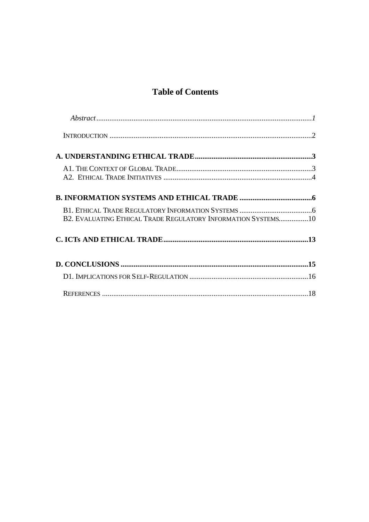### **Table of Contents**

| B2. EVALUATING ETHICAL TRADE REGULATORY INFORMATION SYSTEMS10 |  |
|---------------------------------------------------------------|--|
|                                                               |  |
|                                                               |  |
|                                                               |  |
|                                                               |  |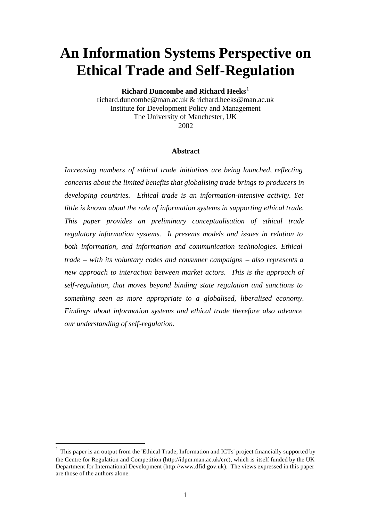# **An Information Systems Perspective on Ethical Trade and Self-Regulation**

**Richard Duncombe and Richard Heeks**<sup>1</sup>

richard.duncombe@man.ac.uk & richard.heeks@man.ac.uk Institute for Development Policy and Management The University of Manchester, UK 2002

#### **Abstract**

*Increasing numbers of ethical trade initiatives are being launched, reflecting concerns about the limited benefits that globalising trade brings to producers in developing countries. Ethical trade is an information-intensive activity. Yet little is known about the role of information systems in supporting ethical trade. This paper provides an preliminary conceptualisation of ethical trade regulatory information systems. It presents models and issues in relation to both information, and information and communication technologies. Ethical trade – with its voluntary codes and consumer campaigns – also represents a new approach to interaction between market actors. This is the approach of self-regulation, that moves beyond binding state regulation and sanctions to something seen as more appropriate to a globalised, liberalised economy. Findings about information systems and ethical trade therefore also advance our understanding of self-regulation.*

l

<sup>&</sup>lt;sup>1</sup> This paper is an output from the 'Ethical Trade, Information and ICTs' project financially supported by the Centre for Regulation and Competition (http://idpm.man.ac.uk/crc), which is itself funded by the UK Department for International Development (http://www.dfid.gov.uk). The views expressed in this paper are those of the authors alone.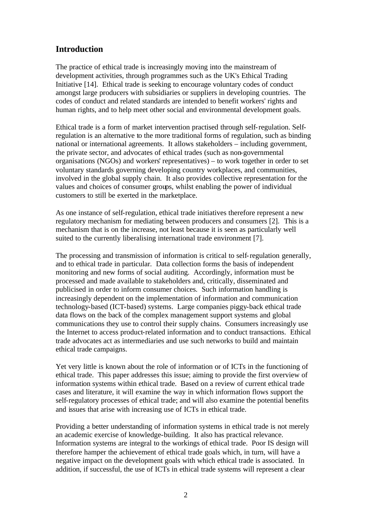#### **Introduction**

The practice of ethical trade is increasingly moving into the mainstream of development activities, through programmes such as the UK's Ethical Trading Initiative [14]. Ethical trade is seeking to encourage voluntary codes of conduct amongst large producers with subsidiaries or suppliers in developing countries. The codes of conduct and related standards are intended to benefit workers' rights and human rights, and to help meet other social and environmental development goals.

Ethical trade is a form of market intervention practised through self-regulation. Selfregulation is an alternative to the more traditional forms of regulation, such as binding national or international agreements. It allows stakeholders – including government, the private sector, and advocates of ethical trades (such as non-governmental organisations (NGOs) and workers' representatives) – to work together in order to set voluntary standards governing developing country workplaces, and communities, involved in the global supply chain. It also provides collective representation for the values and choices of consumer groups, whilst enabling the power of individual customers to still be exerted in the marketplace.

As one instance of self-regulation, ethical trade initiatives therefore represent a new regulatory mechanism for mediating between producers and consumers [2]. This is a mechanism that is on the increase, not least because it is seen as particularly well suited to the currently liberalising international trade environment [7].

The processing and transmission of information is critical to self-regulation generally, and to ethical trade in particular. Data collection forms the basis of independent monitoring and new forms of social auditing. Accordingly, information must be processed and made available to stakeholders and, critically, disseminated and publicised in order to inform consumer choices. Such information handling is increasingly dependent on the implementation of information and communication technology-based (ICT-based) systems. Large companies piggy-back ethical trade data flows on the back of the complex management support systems and global communications they use to control their supply chains. Consumers increasingly use the Internet to access product-related information and to conduct transactions. Ethical trade advocates act as intermediaries and use such networks to build and maintain ethical trade campaigns.

Yet very little is known about the role of information or of ICTs in the functioning of ethical trade. This paper addresses this issue; aiming to provide the first overview of information systems within ethical trade. Based on a review of current ethical trade cases and literature, it will examine the way in which information flows support the self-regulatory processes of ethical trade; and will also examine the potential benefits and issues that arise with increasing use of ICTs in ethical trade.

Providing a better understanding of information systems in ethical trade is not merely an academic exercise of knowledge-building. It also has practical relevance. Information systems are integral to the workings of ethical trade. Poor IS design will therefore hamper the achievement of ethical trade goals which, in turn, will have a negative impact on the development goals with which ethical trade is associated. In addition, if successful, the use of ICTs in ethical trade systems will represent a clear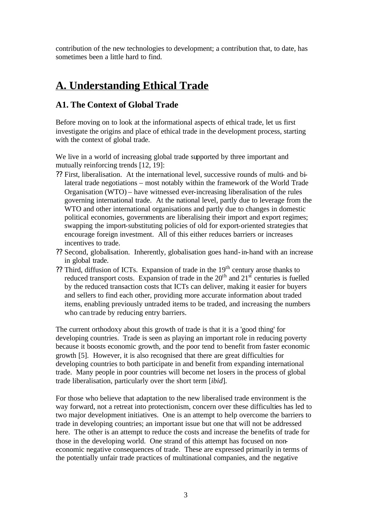contribution of the new technologies to development; a contribution that, to date, has sometimes been a little hard to find.

## **A. Understanding Ethical Trade**

#### **A1. The Context of Global Trade**

Before moving on to look at the informational aspects of ethical trade, let us first investigate the origins and place of ethical trade in the development process, starting with the context of global trade.

We live in a world of increasing global trade supported by three important and mutually reinforcing trends [12, 19]:

- ?? First, liberalisation. At the international level, successive rounds of multi- and bilateral trade negotiations – most notably within the framework of the World Trade Organisation (WTO) – have witnessed ever-increasing liberalisation of the rules governing international trade. At the national level, partly due to leverage from the WTO and other international organisations and partly due to changes in domestic political economies, governments are liberalising their import and export regimes; swapping the import-substituting policies of old for export-oriented strategies that encourage foreign investment. All of this either reduces barriers or increases incentives to trade.
- ?? Second, globalisation. Inherently, globalisation goes hand-in-hand with an increase in global trade.
- ?? Third, diffusion of ICTs. Expansion of trade in the 19<sup>th</sup> century arose thanks to reduced transport costs. Expansion of trade in the  $20<sup>th</sup>$  and  $21<sup>st</sup>$  centuries is fuelled by the reduced transaction costs that ICTs can deliver, making it easier for buyers and sellers to find each other, providing more accurate information about traded items, enabling previously untraded items to be traded, and increasing the numbers who can trade by reducing entry barriers.

The current orthodoxy about this growth of trade is that it is a 'good thing' for developing countries. Trade is seen as playing an important role in reducing poverty because it boosts economic growth, and the poor tend to benefit from faster economic growth [5]. However, it is also recognised that there are great difficulties for developing countries to both participate in and benefit from expanding international trade. Many people in poor countries will become net losers in the process of global trade liberalisation, particularly over the short term [*ibid*].

For those who believe that adaptation to the new liberalised trade environment is the way forward, not a retreat into protectionism, concern over these difficulties has led to two major development initiatives. One is an attempt to help overcome the barriers to trade in developing countries; an important issue but one that will not be addressed here. The other is an attempt to reduce the costs and increase the benefits of trade for those in the developing world. One strand of this attempt has focused on noneconomic negative consequences of trade. These are expressed primarily in terms of the potentially unfair trade practices of multinational companies, and the negative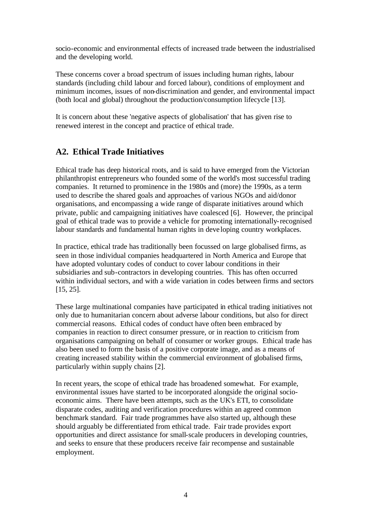socio-economic and environmental effects of increased trade between the industrialised and the developing world.

These concerns cover a broad spectrum of issues including human rights, labour standards (including child labour and forced labour), conditions of employment and minimum incomes, issues of non-discrimination and gender, and environmental impact (both local and global) throughout the production/consumption lifecycle [13].

It is concern about these 'negative aspects of globalisation' that has given rise to renewed interest in the concept and practice of ethical trade.

#### **A2. Ethical Trade Initiatives**

Ethical trade has deep historical roots, and is said to have emerged from the Victorian philanthropist entrepreneurs who founded some of the world's most successful trading companies. It returned to prominence in the 1980s and (more) the 1990s, as a term used to describe the shared goals and approaches of various NGOs and aid/donor organisations, and encompassing a wide range of disparate initiatives around which private, public and campaigning initiatives have coalesced [6]. However, the principal goal of ethical trade was to provide a vehicle for promoting internationally-recognised labour standards and fundamental human rights in deve loping country workplaces.

In practice, ethical trade has traditionally been focussed on large globalised firms, as seen in those individual companies headquartered in North America and Europe that have adopted voluntary codes of conduct to cover labour conditions in their subsidiaries and sub-contractors in developing countries. This has often occurred within individual sectors, and with a wide variation in codes between firms and sectors [15, 25].

These large multinational companies have participated in ethical trading initiatives not only due to humanitarian concern about adverse labour conditions, but also for direct commercial reasons. Ethical codes of conduct have often been embraced by companies in reaction to direct consumer pressure, or in reaction to criticism from organisations campaigning on behalf of consumer or worker groups. Ethical trade has also been used to form the basis of a positive corporate image, and as a means of creating increased stability within the commercial environment of globalised firms, particularly within supply chains [2].

In recent years, the scope of ethical trade has broadened somewhat. For example, environmental issues have started to be incorporated alongside the original socioeconomic aims. There have been attempts, such as the UK's ETI, to consolidate disparate codes, auditing and verification procedures within an agreed common benchmark standard. Fair trade programmes have also started up, although these should arguably be differentiated from ethical trade. Fair trade provides export opportunities and direct assistance for small-scale producers in developing countries, and seeks to ensure that these producers receive fair recompense and sustainable employment.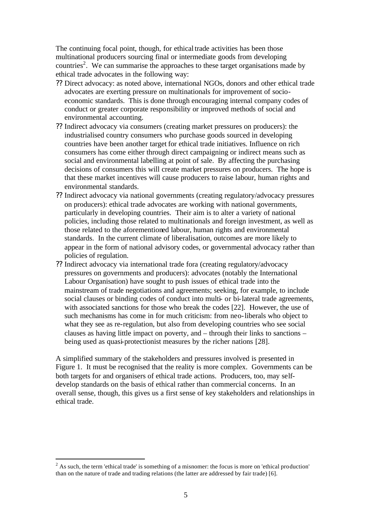The continuing focal point, though, for ethical trade activities has been those multinational producers sourcing final or intermediate goods from developing countries<sup>2</sup>. We can summarise the approaches to these target organisations made by ethical trade advocates in the following way:

- ?? Direct advocacy: as noted above, international NGOs, donors and other ethical trade advocates are exerting pressure on multinationals for improvement of socioeconomic standards. This is done through encouraging internal company codes of conduct or greater corporate responsibility or improved methods of social and environmental accounting.
- ?? Indirect advocacy via consumers (creating market pressures on producers): the industrialised country consumers who purchase goods sourced in developing countries have been another target for ethical trade initiatives. Influence on rich consumers has come either through direct campaigning or indirect means such as social and environmental labelling at point of sale. By affecting the purchasing decisions of consumers this will create market pressures on producers. The hope is that these market incentives will cause producers to raise labour, human rights and environmental standards.
- ?? Indirect advocacy via national governments (creating regulatory/advocacy pressures on producers): ethical trade advocates are working with national governments, particularly in developing countries. Their aim is to alter a variety of national policies, including those related to multinationals and foreign investment, as well as those related to the aforementioned labour, human rights and environmental standards. In the current climate of liberalisation, outcomes are more likely to appear in the form of national advisory codes, or governmental advocacy rather than policies of regulation.
- ?? Indirect advocacy via international trade fora (creating regulatory/advocacy pressures on governments and producers): advocates (notably the International Labour Organisation) have sought to push issues of ethical trade into the mainstream of trade negotiations and agreements; seeking, for example, to include social clauses or binding codes of conduct into multi- or bi-lateral trade agreements, with associated sanctions for those who break the codes [22]. However, the use of such mechanisms has come in for much criticism: from neo-liberals who object to what they see as re-regulation, but also from developing countries who see social clauses as having little impact on poverty, and – through their links to sanctions – being used as quasi-protectionist measures by the richer nations [28].

A simplified summary of the stakeholders and pressures involved is presented in Figure 1. It must be recognised that the reality is more complex. Governments can be both targets for and organisers of ethical trade actions. Producers, too, may selfdevelop standards on the basis of ethical rather than commercial concerns. In an overall sense, though, this gives us a first sense of key stakeholders and relationships in ethical trade.

l

 $2^{2}$  As such, the term 'ethical trade' is something of a misnomer: the focus is more on 'ethical production' than on the nature of trade and trading relations (the latter are addressed by fair trade) [6].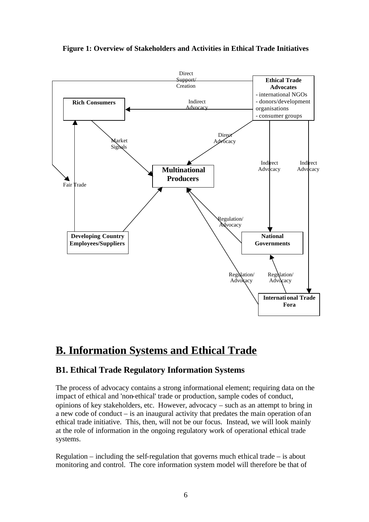

**Figure 1: Overview of Stakeholders and Activities in Ethical Trade Initiatives**

### **B. Information Systems and Ethical Trade**

#### **B1. Ethical Trade Regulatory Information Systems**

The process of advocacy contains a strong informational element; requiring data on the impact of ethical and 'non-ethical' trade or production, sample codes of conduct, opinions of key stakeholders, etc. However, advocacy – such as an attempt to bring in a new code of conduct – is an inaugural activity that predates the main operation of an ethical trade initiative. This, then, will not be our focus. Instead, we will look mainly at the role of information in the ongoing regulatory work of operational ethical trade systems.

Regulation – including the self-regulation that governs much ethical trade – is about monitoring and control. The core information system model will therefore be that of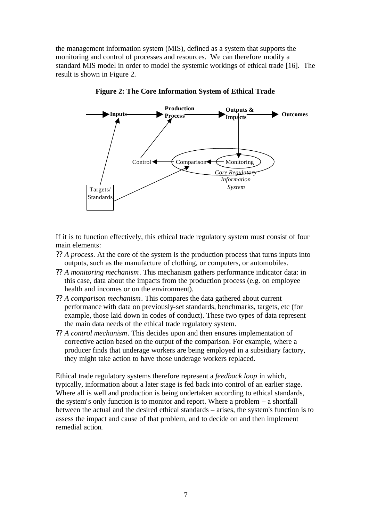the management information system (MIS), defined as a system that supports the monitoring and control of processes and resources. We can therefore modify a standard MIS model in order to model the systemic workings of ethical trade [16]. The result is shown in Figure 2.



**Figure 2: The Core Information System of Ethical Trade**

If it is to function effectively, this ethical trade regulatory system must consist of four main elements:

- ?? *A process*. At the core of the system is the production process that turns inputs into outputs, such as the manufacture of clothing, or computers, or automobiles.
- ?? *A monitoring mechanism*. This mechanism gathers performance indicator data: in this case, data about the impacts from the production process (e.g. on employee health and incomes or on the environment).
- ?? *A comparison mechanism*. This compares the data gathered about current performance with data on previously-set standards, benchmarks, targets, etc (for example, those laid down in codes of conduct). These two types of data represent the main data needs of the ethical trade regulatory system.
- ?? *A control mechanism*. This decides upon and then ensures implementation of corrective action based on the output of the comparison. For example, where a producer finds that underage workers are being employed in a subsidiary factory, they might take action to have those underage workers replaced.

Ethical trade regulatory systems therefore represent a *feedback loop* in which, typically, information about a later stage is fed back into control of an earlier stage. Where all is well and production is being undertaken according to ethical standards, the system's only function is to monitor and report. Where a problem – a shortfall between the actual and the desired ethical standards – arises, the system's function is to assess the impact and cause of that problem, and to decide on and then implement remedial action.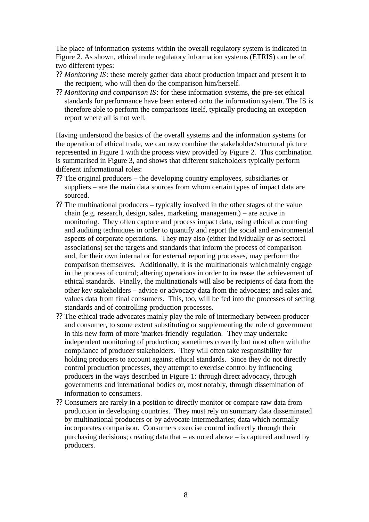The place of information systems within the overall regulatory system is indicated in Figure 2. As shown, ethical trade regulatory information systems (ETRIS) can be of two different types:

- ?? *Monitoring IS*: these merely gather data about production impact and present it to the recipient, who will then do the comparison him/herself.
- ?? *Monitoring and comparison IS*: for these information systems, the pre-set ethical standards for performance have been entered onto the information system. The IS is therefore able to perform the comparisons itself, typically producing an exception report where all is not well.

Having understood the basics of the overall systems and the information systems for the operation of ethical trade, we can now combine the stakeholder/structural picture represented in Figure 1 with the process view provided by Figure 2. This combination is summarised in Figure 3, and shows that different stakeholders typically perform different informational roles:

- ?? The original producers the developing country employees, subsidiaries or suppliers – are the main data sources from whom certain types of impact data are sourced.
- ?? The multinational producers typically involved in the other stages of the value chain (e.g. research, design, sales, marketing, management) – are active in monitoring. They often capture and process impact data, using ethical accounting and auditing techniques in order to quantify and report the social and environmental aspects of corporate operations. They may also (either individually or as sectoral associations) set the targets and standards that inform the process of comparison and, for their own internal or for external reporting processes, may perform the comparison themselves. Additionally, it is the multinationals which mainly engage in the process of control; altering operations in order to increase the achievement of ethical standards. Finally, the multinationals will also be recipients of data from the other key stakeholders – advice or advocacy data from the advocates; and sales and values data from final consumers. This, too, will be fed into the processes of setting standards and of controlling production processes.
- ?? The ethical trade advocates mainly play the role of intermediary between producer and consumer, to some extent substituting or supplementing the role of government in this new form of more 'market-friendly' regulation. They may undertake independent monitoring of production; sometimes covertly but most often with the compliance of producer stakeholders. They will often take responsibility for holding producers to account against ethical standards. Since they do not directly control production processes, they attempt to exercise control by influencing producers in the ways described in Figure 1: through direct advocacy, through governments and international bodies or, most notably, through dissemination of information to consumers.
- ?? Consumers are rarely in a position to directly monitor or compare raw data from production in developing countries. They must rely on summary data disseminated by multinational producers or by advocate intermediaries; data which normally incorporates comparison. Consumers exercise control indirectly through their purchasing decisions; creating data that – as noted above – is captured and used by producers.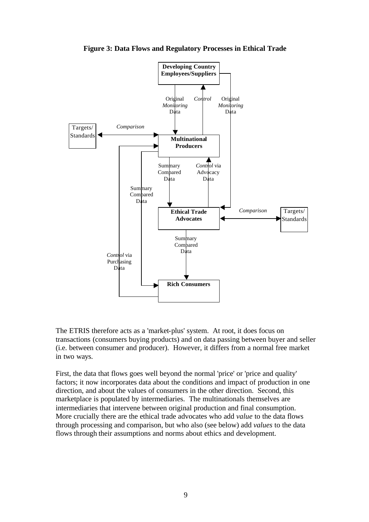

**Figure 3: Data Flows and Regulatory Processes in Ethical Trade**

The ETRIS therefore acts as a 'market-plus' system. At root, it does focus on transactions (consumers buying products) and on data passing between buyer and seller (i.e. between consumer and producer). However, it differs from a normal free market in two ways.

First, the data that flows goes well beyond the normal 'price' or 'price and quality' factors; it now incorporates data about the conditions and impact of production in one direction, and about the values of consumers in the other direction. Second, this marketplace is populated by intermediaries. The multinationals themselves are intermediaries that intervene between original production and final consumption. More crucially there are the ethical trade advocates who add *value* to the data flows through processing and comparison, but who also (see below) add *values* to the data flows through their assumptions and norms about ethics and development.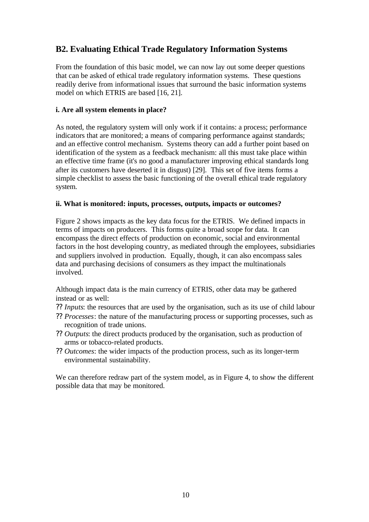#### **B2. Evaluating Ethical Trade Regulatory Information Systems**

From the foundation of this basic model, we can now lay out some deeper questions that can be asked of ethical trade regulatory information systems. These questions readily derive from informational issues that surround the basic information systems model on which ETRIS are based [16, 21].

#### **i. Are all system elements in place?**

As noted, the regulatory system will only work if it contains: a process; performance indicators that are monitored; a means of comparing performance against standards; and an effective control mechanism. Systems theory can add a further point based on identification of the system as a feedback mechanism: all this must take place within an effective time frame (it's no good a manufacturer improving ethical standards long after its customers have deserted it in disgust) [29]. This set of five items forms a simple checklist to assess the basic functioning of the overall ethical trade regulatory system.

#### **ii. What is monitored: inputs, processes, outputs, impacts or outcomes?**

Figure 2 shows impacts as the key data focus for the ETRIS. We defined impacts in terms of impacts on producers. This forms quite a broad scope for data. It can encompass the direct effects of production on economic, social and environmental factors in the host developing country, as mediated through the employees, subsidiaries and suppliers involved in production. Equally, though, it can also encompass sales data and purchasing decisions of consumers as they impact the multinationals involved.

Although impact data is the main currency of ETRIS, other data may be gathered instead or as well:

- ?? *Inputs*: the resources that are used by the organisation, such as its use of child labour
- ?? *Processes*: the nature of the manufacturing process or supporting processes, such as recognition of trade unions.
- ?? *Outputs*: the direct products produced by the organisation, such as production of arms or tobacco-related products.
- ?? *Outcomes*: the wider impacts of the production process, such as its longer-term environmental sustainability.

We can therefore redraw part of the system model, as in Figure 4, to show the different possible data that may be monitored.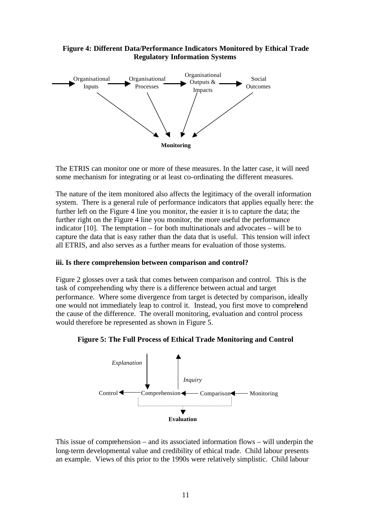**Figure 4: Different Data/Performance Indicators Monitored by Ethical Trade Regulatory Information Systems**



The ETRIS can monitor one or more of these measures. In the latter case, it will need some mechanism for integrating or at least co-ordinating the different measures.

The nature of the item monitored also affects the legitimacy of the overall information system. There is a general rule of performance indicators that applies equally here: the further left on the Figure 4 line you monitor, the easier it is to capture the data; the further right on the Figure 4 line you monitor, the more useful the performance indicator [10]. The temptation – for both multinationals and advocates – will be to capture the data that is easy rather than the data that is useful. This tension will infect all ETRIS, and also serves as a further means for evaluation of those systems.

#### **iii. Is there comprehension between comparison and control?**

Figure 2 glosses over a task that comes between comparison and control. This is the task of comprehending why there is a difference between actual and target performance. Where some divergence from target is detected by comparison, ideally one would not immediately leap to control it. Instead, you first move to comprehend the cause of the difference. The overall monitoring, evaluation and control process would therefore be represented as shown in Figure 5.





This issue of comprehension – and its associated information flows – will underpin the long-term developmental value and credibility of ethical trade. Child labour presents an example. Views of this prior to the 1990s were relatively simplistic. Child labour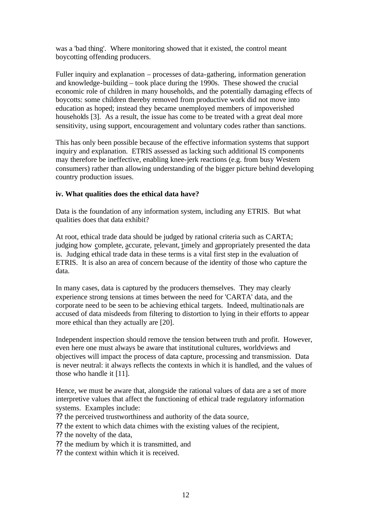was a 'bad thing'. Where monitoring showed that it existed, the control meant boycotting offending producers.

Fuller inquiry and explanation – processes of data-gathering, information generation and knowledge-building – took place during the 1990s. These showed the crucial economic role of children in many households, and the potentially damaging effects of boycotts: some children thereby removed from productive work did not move into education as hoped; instead they became unemployed members of impoverished households [3]. As a result, the issue has come to be treated with a great deal more sensitivity, using support, encouragement and voluntary codes rather than sanctions.

This has only been possible because of the effective information systems that support inquiry and explanation. ETRIS assessed as lacking such additional IS components may therefore be ineffective, enabling knee-jerk reactions (e.g. from busy Western consumers) rather than allowing understanding of the bigger picture behind developing country production issues.

#### **iv. What qualities does the ethical data have?**

Data is the foundation of any information system, including any ETRIS. But what qualities does that data exhibit?

At root, ethical trade data should be judged by rational criteria such as CARTA; judging how complete, accurate, relevant, timely and appropriately presented the data is. Judging ethical trade data in these terms is a vital first step in the evaluation of ETRIS. It is also an area of concern because of the identity of those who capture the data.

In many cases, data is captured by the producers themselves. They may clearly experience strong tensions at times between the need for 'CARTA' data, and the corporate need to be seen to be achieving ethical targets. Indeed, multinationals are accused of data misdeeds from filtering to distortion to lying in their efforts to appear more ethical than they actually are [20].

Independent inspection should remove the tension between truth and profit. However, even here one must always be aware that institutional cultures, worldviews and objectives will impact the process of data capture, processing and transmission. Data is never neutral: it always reflects the contexts in which it is handled, and the values of those who handle it [11].

Hence, we must be aware that, alongside the rational values of data are a set of more interpretive values that affect the functioning of ethical trade regulatory information systems. Examples include:

- ?? the perceived trustworthiness and authority of the data source,
- ?? the extent to which data chimes with the existing values of the recipient,
- ?? the novelty of the data,
- ?? the medium by which it is transmitted, and
- ?? the context within which it is received.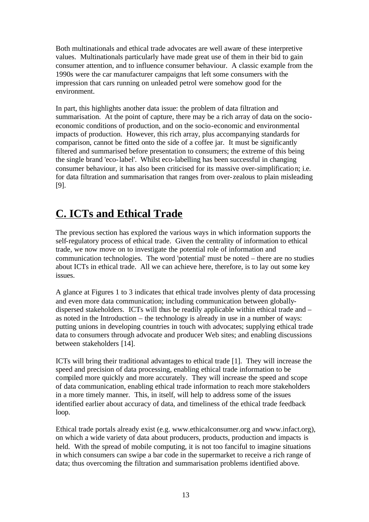Both multinationals and ethical trade advocates are well aware of these interpretive values. Multinationals particularly have made great use of them in their bid to gain consumer attention, and to influence consumer behaviour. A classic example from the 1990s were the car manufacturer campaigns that left some consumers with the impression that cars running on unleaded petrol were somehow good for the environment.

In part, this highlights another data issue: the problem of data filtration and summarisation. At the point of capture, there may be a rich array of data on the socioeconomic conditions of production, and on the socio-economic and environmental impacts of production. However, this rich array, plus accompanying standards for comparison, cannot be fitted onto the side of a coffee jar. It must be significantly filtered and summarised before presentation to consumers; the extreme of this being the single brand 'eco-label'. Whilst eco-labelling has been successful in changing consumer behaviour, it has also been criticised for its massive over-simplification; i.e. for data filtration and summarisation that ranges from over-zealous to plain misleading [9].

# **C. ICTs and Ethical Trade**

The previous section has explored the various ways in which information supports the self-regulatory process of ethical trade. Given the centrality of information to ethical trade, we now move on to investigate the potential role of information and communication technologies. The word 'potential' must be noted – there are no studies about ICTs in ethical trade. All we can achieve here, therefore, is to lay out some key issues.

A glance at Figures 1 to 3 indicates that ethical trade involves plenty of data processing and even more data communication; including communication between globallydispersed stakeholders. ICTs will thus be readily applicable within ethical trade and – as noted in the Introduction – the technology is already in use in a number of ways: putting unions in developing countries in touch with advocates; supplying ethical trade data to consumers through advocate and producer Web sites; and enabling discussions between stakeholders [14].

ICTs will bring their traditional advantages to ethical trade [1]. They will increase the speed and precision of data processing, enabling ethical trade information to be compiled more quickly and more accurately. They will increase the speed and scope of data communication, enabling ethical trade information to reach more stakeholders in a more timely manner. This, in itself, will help to address some of the issues identified earlier about accuracy of data, and timeliness of the ethical trade feedback loop.

Ethical trade portals already exist (e.g. www.ethicalconsumer.org and www.infact.org), on which a wide variety of data about producers, products, production and impacts is held. With the spread of mobile computing, it is not too fanciful to imagine situations in which consumers can swipe a bar code in the supermarket to receive a rich range of data; thus overcoming the filtration and summarisation problems identified above.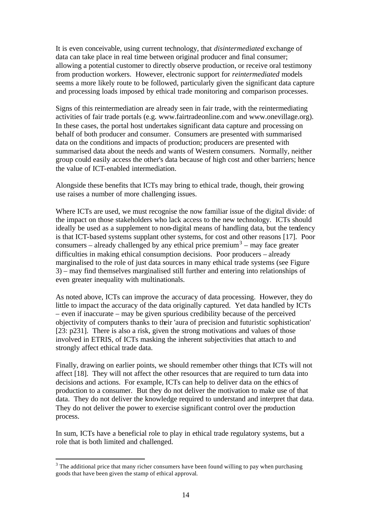It is even conceivable, using current technology, that *disintermediated* exchange of data can take place in real time between original producer and final consumer; allowing a potential customer to directly observe production, or receive oral testimony from production workers. However, electronic support for *reintermediated* models seems a more likely route to be followed, particularly given the significant data capture and processing loads imposed by ethical trade monitoring and comparison processes.

Signs of this reintermediation are already seen in fair trade, with the reintermediating activities of fair trade portals (e.g. www.fairtradeonline.com and www.onevillage.org). In these cases, the portal host undertakes significant data capture and processing on behalf of both producer and consumer. Consumers are presented with summarised data on the conditions and impacts of production; producers are presented with summarised data about the needs and wants of Western consumers. Normally, neither group could easily access the other's data because of high cost and other barriers; hence the value of ICT-enabled intermediation.

Alongside these benefits that ICTs may bring to ethical trade, though, their growing use raises a number of more challenging issues.

Where ICTs are used, we must recognise the now familiar issue of the digital divide: of the impact on those stakeholders who lack access to the new technology. ICTs should ideally be used as a supplement to non-digital means of handling data, but the tendency is that ICT-based systems supplant other systems, for cost and other reasons [17]. Poor consumers – already challenged by any ethical price premium<sup>3</sup> – may face greater difficulties in making ethical consumption decisions. Poor producers – already marginalised to the role of just data sources in many ethical trade systems (see Figure 3) – may find themselves marginalised still further and entering into relationships of even greater inequality with multinationals.

As noted above, ICTs can improve the accuracy of data processing. However, they do little to impact the accuracy of the data originally captured. Yet data handled by ICTs – even if inaccurate – may be given spurious credibility because of the perceived objectivity of computers thanks to their 'aura of precision and futuristic sophistication' [23: p231]. There is also a risk, given the strong motivations and values of those involved in ETRIS, of ICTs masking the inherent subjectivities that attach to and strongly affect ethical trade data.

Finally, drawing on earlier points, we should remember other things that ICTs will not affect [18]. They will not affect the other resources that are required to turn data into decisions and actions. For example, ICTs can help to deliver data on the ethics of production to a consumer. But they do not deliver the motivation to make use of that data. They do not deliver the knowledge required to understand and interpret that data. They do not deliver the power to exercise significant control over the production process.

In sum, ICTs have a beneficial role to play in ethical trade regulatory systems, but a role that is both limited and challenged.

l

 $3$  The additional price that many richer consumers have been found willing to pay when purchasing goods that have been given the stamp of ethical approval.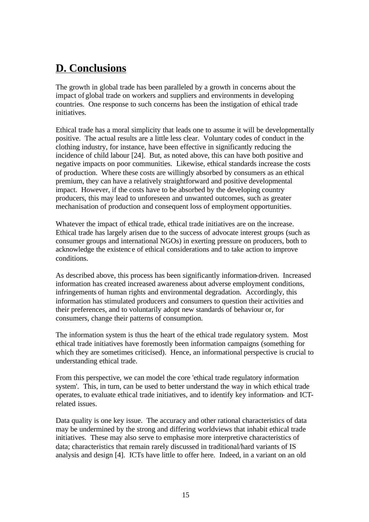# **D. Conclusions**

The growth in global trade has been paralleled by a growth in concerns about the impact of global trade on workers and suppliers and environments in developing countries. One response to such concerns has been the instigation of ethical trade initiatives.

Ethical trade has a moral simplicity that leads one to assume it will be developmentally positive. The actual results are a little less clear. Voluntary codes of conduct in the clothing industry, for instance, have been effective in significantly reducing the incidence of child labour [24]. But, as noted above, this can have both positive and negative impacts on poor communities. Likewise, ethical standards increase the costs of production. Where these costs are willingly absorbed by consumers as an ethical premium, they can have a relatively straightforward and positive developmental impact. However, if the costs have to be absorbed by the developing country producers, this may lead to unforeseen and unwanted outcomes, such as greater mechanisation of production and consequent loss of employment opportunities.

Whatever the impact of ethical trade, ethical trade initiatives are on the increase. Ethical trade has largely arisen due to the success of advocate interest groups (such as consumer groups and international NGOs) in exerting pressure on producers, both to acknowledge the existenc e of ethical considerations and to take action to improve conditions.

As described above, this process has been significantly information-driven. Increased information has created increased awareness about adverse employment conditions, infringements of human rights and environmental degradation. Accordingly, this information has stimulated producers and consumers to question their activities and their preferences, and to voluntarily adopt new standards of behaviour or, for consumers, change their patterns of consumption.

The information system is thus the heart of the ethical trade regulatory system. Most ethical trade initiatives have foremostly been information campaigns (something for which they are sometimes criticised). Hence, an informational perspective is crucial to understanding ethical trade.

From this perspective, we can model the core 'ethical trade regulatory information system'. This, in turn, can be used to better understand the way in which ethical trade operates, to evaluate ethical trade initiatives, and to identify key information- and ICTrelated issues.

Data quality is one key issue. The accuracy and other rational characteristics of data may be undermined by the strong and differing worldviews that inhabit ethical trade initiatives. These may also serve to emphasise more interpretive characteristics of data; characteristics that remain rarely discussed in traditional/hard variants of IS analysis and design [4]. ICTs have little to offer here. Indeed, in a variant on an old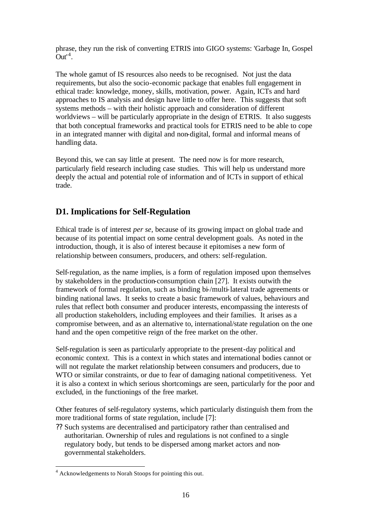phrase, they run the risk of converting ETRIS into GIGO systems: 'Garbage In, Gospel  $\text{Out}^4$ .

The whole gamut of IS resources also needs to be recognised. Not just the data requirements, but also the socio-economic package that enables full engagement in ethical trade: knowledge, money, skills, motivation, power. Again, ICTs and hard approaches to IS analysis and design have little to offer here. This suggests that soft systems methods – with their holistic approach and consideration of different worldviews – will be particularly appropriate in the design of ETRIS. It also suggests that both conceptual frameworks and practical tools for ETRIS need to be able to cope in an integrated manner with digital and non-digital, formal and informal means of handling data.

Beyond this, we can say little at present. The need now is for more research, particularly field research including case studies. This will help us understand more deeply the actual and potential role of information and of ICTs in support of ethical trade.

#### **D1. Implications for Self-Regulation**

Ethical trade is of interest *per se*, because of its growing impact on global trade and because of its potential impact on some central development goals. As noted in the introduction, though, it is also of interest because it epitomises a new form of relationship between consumers, producers, and others: self-regulation.

Self-regulation, as the name implies, is a form of regulation imposed upon themselves by stakeholders in the production-consumption chain [27]. It exists outwith the framework of formal regulation, such as binding bi-/multi-lateral trade agreements or binding national laws. It seeks to create a basic framework of values, behaviours and rules that reflect both consumer and producer interests, encompassing the interests of all production stakeholders, including employees and their families. It arises as a compromise between, and as an alternative to, international/state regulation on the one hand and the open competitive reign of the free market on the other.

Self-regulation is seen as particularly appropriate to the present-day political and economic context. This is a context in which states and international bodies cannot or will not regulate the market relationship between consumers and producers, due to WTO or similar constraints, or due to fear of damaging national competitiveness. Yet it is also a context in which serious shortcomings are seen, particularly for the poor and excluded, in the functionings of the free market.

Other features of self-regulatory systems, which particularly distinguish them from the more traditional forms of state regulation, include [7]:

?? Such systems are decentralised and participatory rather than centralised and authoritarian. Ownership of rules and regulations is not confined to a single regulatory body, but tends to be dispersed among market actors and nongovernmental stakeholders.

l <sup>4</sup> Acknowledgements to Norah Stoops for pointing this out.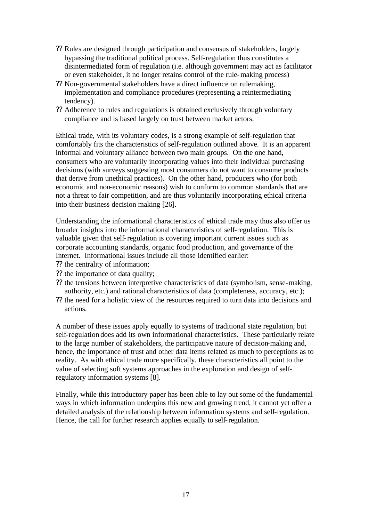- ?? Rules are designed through participation and consensus of stakeholders, largely bypassing the traditional political process. Self-regulation thus constitutes a disintermediated form of regulation (i.e. although government may act as facilitator or even stakeholder, it no longer retains control of the rule-making process)
- ?? Non-governmental stakeholders have a direct influence on rulemaking, implementation and compliance procedures (representing a reintermediating tendency).
- ?? Adherence to rules and regulations is obtained exclusively through voluntary compliance and is based largely on trust between market actors.

Ethical trade, with its voluntary codes, is a strong example of self-regulation that comfortably fits the characteristics of self-regulation outlined above. It is an apparent informal and voluntary alliance between two main groups. On the one hand, consumers who are voluntarily incorporating values into their individual purchasing decisions (with surveys suggesting most consumers do not want to consume products that derive from unethical practices). On the other hand, producers who (for both economic and non-economic reasons) wish to conform to common standards that are not a threat to fair competition, and are thus voluntarily incorporating ethical criteria into their business decision making [26].

Understanding the informational characteristics of ethical trade may thus also offer us broader insights into the informational characteristics of self-regulation. This is valuable given that self-regulation is covering important current issues such as corporate accounting standards, organic food production, and governance of the Internet. Informational issues include all those identified earlier:

- ?? the centrality of information;
- ?? the importance of data quality;
- ?? the tensions between interpretive characteristics of data (symbolism, sense-making, authority, etc.) and rational characteristics of data (completeness, accuracy, etc.);
- ?? the need for a holistic view of the resources required to turn data into decisions and actions.

A number of these issues apply equally to systems of traditional state regulation, but self-regulation does add its own informational characteristics. These particularly relate to the large number of stakeholders, the participative nature of decision-making and, hence, the importance of trust and other data items related as much to perceptions as to reality. As with ethical trade more specifically, these characteristics all point to the value of selecting soft systems approaches in the exploration and design of selfregulatory information systems [8].

Finally, while this introductory paper has been able to lay out some of the fundamental ways in which information underpins this new and growing trend, it cannot yet offer a detailed analysis of the relationship between information systems and self-regulation. Hence, the call for further research applies equally to self-regulation.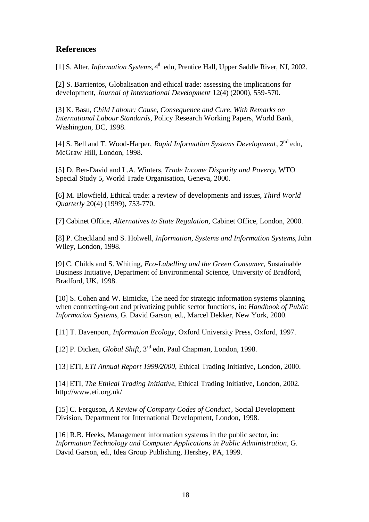#### **References**

[1] S. Alter, *Information Systems*, 4<sup>th</sup> edn, Prentice Hall, Upper Saddle River, NJ, 2002.

[2] S. Barrientos, Globalisation and ethical trade: assessing the implications for development, *Journal of International Development* 12(4) (2000), 559-570.

[3] K. Basu, *Child Labour: Cause, Consequence and Cure, With Remarks on International Labour Standards*, Policy Research Working Papers, World Bank, Washington, DC, 1998.

[4] S. Bell and T. Wood-Harper, *Rapid Information Systems Development*, 2nd edn, McGraw Hill, London, 1998.

[5] D. Ben-David and L.A. Winters, *Trade Income Disparity and Poverty*, WTO Special Study 5, World Trade Organisation, Geneva, 2000.

[6] M. Blowfield, Ethical trade: a review of developments and issues, *Third World Quarterly* 20(4) (1999), 753-770.

[7] Cabinet Office, *Alternatives to State Regulation*, Cabinet Office, London, 2000.

[8] P. Checkland and S. Holwell, *Information, Systems and Information Systems*, John Wiley, London, 1998.

[9] C. Childs and S. Whiting, *Eco-Labelling and the Green Consumer*, Sustainable Business Initiative, Department of Environmental Science, University of Bradford, Bradford, UK, 1998.

[10] S. Cohen and W. Eimicke, The need for strategic information systems planning when contracting-out and privatizing public sector functions, in: *Handbook of Public Information Systems*, G. David Garson, ed., Marcel Dekker, New York, 2000.

[11] T. Davenport, *Information Ecology*, Oxford University Press, Oxford, 1997.

[12] P. Dicken, *Global Shift*, 3rd edn, Paul Chapman, London, 1998.

[13] ETI, *ETI Annual Report 1999/2000*, Ethical Trading Initiative, London, 2000.

[14] ETI, *The Ethical Trading Initiative*, Ethical Trading Initiative, London, 2002. http://www.eti.org.uk/

[15] C. Ferguson, *A Review of Company Codes of Conduct*, Social Development Division, Department for International Development, London, 1998.

[16] R.B. Heeks, Management information systems in the public sector, in: *Information Technology and Computer Applications in Public Administration*, G. David Garson, ed., Idea Group Publishing, Hershey, PA, 1999.